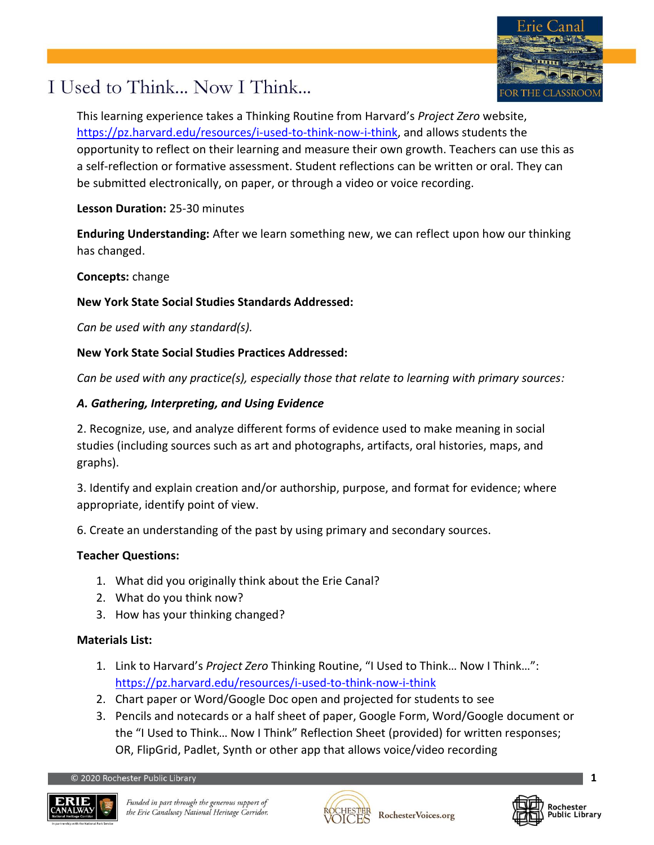

## I Used to Think... Now I Think...

This learning experience takes a Thinking Routine from Harvard's *Project Zero* website, [https://pz.harvard.edu/resources/i-used-to-think-now-i-think,](https://pz.harvard.edu/resources/i-used-to-think-now-i-think) and allows students the opportunity to reflect on their learning and measure their own growth. Teachers can use this as a self-reflection or formative assessment. Student reflections can be written or oral. They can be submitted electronically, on paper, or through a video or voice recording.

**Lesson Duration:** 25-30 minutes

**Enduring Understanding:** After we learn something new, we can reflect upon how our thinking has changed.

**Concepts:** change

#### **New York State Social Studies Standards Addressed:**

*Can be used with any standard(s).*

### **New York State Social Studies Practices Addressed:**

*Can be used with any practice(s), especially those that relate to learning with primary sources:*

### *A. Gathering, Interpreting, and Using Evidence*

2. Recognize, use, and analyze different forms of evidence used to make meaning in social studies (including sources such as art and photographs, artifacts, oral histories, maps, and graphs).

3. Identify and explain creation and/or authorship, purpose, and format for evidence; where appropriate, identify point of view.

6. Create an understanding of the past by using primary and secondary sources.

#### **Teacher Questions:**

- 1. What did you originally think about the Erie Canal?
- 2. What do you think now?
- 3. How has your thinking changed?

#### **Materials List:**

- 1. Link to Harvard's *Project Zero* Thinking Routine, "I Used to Think… Now I Think…": <https://pz.harvard.edu/resources/i-used-to-think-now-i-think>
- 2. Chart paper or Word/Google Doc open and projected for students to see
- 3. Pencils and notecards or a half sheet of paper, Google Form, Word/Google document or the "I Used to Think… Now I Think" Reflection Sheet (provided) for written responses; OR, FlipGrid, Padlet, Synth or other app that allows voice/video recording





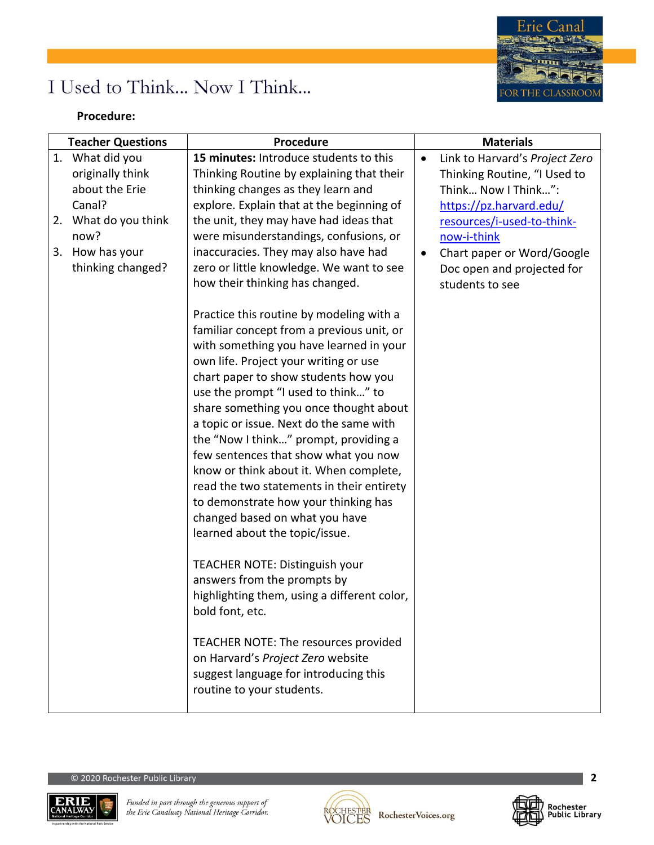

## I Used to Think... Now I Think...

#### **Procedure:**

|    | <b>Teacher Questions</b>                                                                                                             | Procedure                                                                                                                                                                                                                                                                                                                                                                                                                                                                                                                                                                                                                                                                                                                                                                                                                                                                                                               | <b>Materials</b>                                                                                                                                                                                                                                                       |
|----|--------------------------------------------------------------------------------------------------------------------------------------|-------------------------------------------------------------------------------------------------------------------------------------------------------------------------------------------------------------------------------------------------------------------------------------------------------------------------------------------------------------------------------------------------------------------------------------------------------------------------------------------------------------------------------------------------------------------------------------------------------------------------------------------------------------------------------------------------------------------------------------------------------------------------------------------------------------------------------------------------------------------------------------------------------------------------|------------------------------------------------------------------------------------------------------------------------------------------------------------------------------------------------------------------------------------------------------------------------|
| 3. | 1. What did you<br>originally think<br>about the Erie<br>Canal?<br>2. What do you think<br>now?<br>How has your<br>thinking changed? | 15 minutes: Introduce students to this<br>Thinking Routine by explaining that their<br>thinking changes as they learn and<br>explore. Explain that at the beginning of<br>the unit, they may have had ideas that<br>were misunderstandings, confusions, or<br>inaccuracies. They may also have had<br>zero or little knowledge. We want to see<br>how their thinking has changed.                                                                                                                                                                                                                                                                                                                                                                                                                                                                                                                                       | Link to Harvard's Project Zero<br>$\bullet$<br>Thinking Routine, "I Used to<br>Think Now I Think":<br>https://pz.harvard.edu/<br>resources/i-used-to-think-<br>now-i-think<br>Chart paper or Word/Google<br>$\bullet$<br>Doc open and projected for<br>students to see |
|    |                                                                                                                                      | Practice this routine by modeling with a<br>familiar concept from a previous unit, or<br>with something you have learned in your<br>own life. Project your writing or use<br>chart paper to show students how you<br>use the prompt "I used to think" to<br>share something you once thought about<br>a topic or issue. Next do the same with<br>the "Now I think" prompt, providing a<br>few sentences that show what you now<br>know or think about it. When complete,<br>read the two statements in their entirety<br>to demonstrate how your thinking has<br>changed based on what you have<br>learned about the topic/issue.<br>TEACHER NOTE: Distinguish your<br>answers from the prompts by<br>highlighting them, using a different color,<br>bold font, etc.<br>TEACHER NOTE: The resources provided<br>on Harvard's Project Zero website<br>suggest language for introducing this<br>routine to your students. |                                                                                                                                                                                                                                                                        |





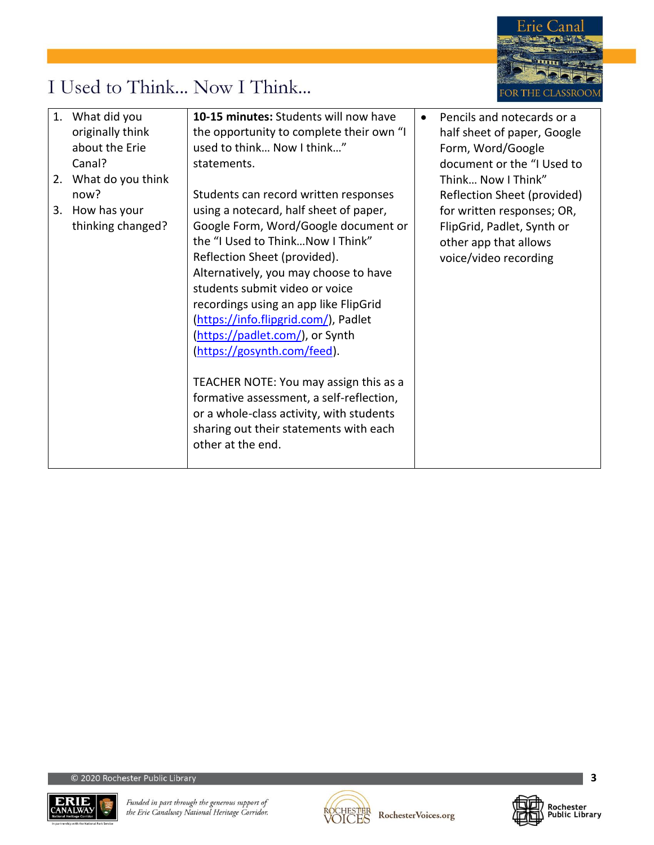

# I Used to Think... Now I Think...

| 1. What did you      | 10-15 minutes: Students will now have    | Pencils and notecards or a  |
|----------------------|------------------------------------------|-----------------------------|
| originally think     | the opportunity to complete their own "I | half sheet of paper, Google |
| about the Erie       | used to think Now I think"               | Form, Word/Google           |
| Canal?               | statements.                              | document or the "I Used to  |
| 2. What do you think |                                          | Think Now I Think"          |
| now?                 | Students can record written responses    | Reflection Sheet (provided) |
| 3. How has your      | using a notecard, half sheet of paper,   | for written responses; OR,  |
| thinking changed?    | Google Form, Word/Google document or     | FlipGrid, Padlet, Synth or  |
|                      | the "I Used to ThinkNow I Think"         | other app that allows       |
|                      | Reflection Sheet (provided).             | voice/video recording       |
|                      | Alternatively, you may choose to have    |                             |
|                      | students submit video or voice           |                             |
|                      | recordings using an app like FlipGrid    |                             |
|                      | (https://info.flipgrid.com/), Padlet     |                             |
|                      | (https://padlet.com/), or Synth          |                             |
|                      | (https://gosynth.com/feed).              |                             |
|                      |                                          |                             |
|                      | TEACHER NOTE: You may assign this as a   |                             |
|                      | formative assessment, a self-reflection, |                             |
|                      | or a whole-class activity, with students |                             |
|                      | sharing out their statements with each   |                             |
|                      | other at the end.                        |                             |
|                      |                                          |                             |